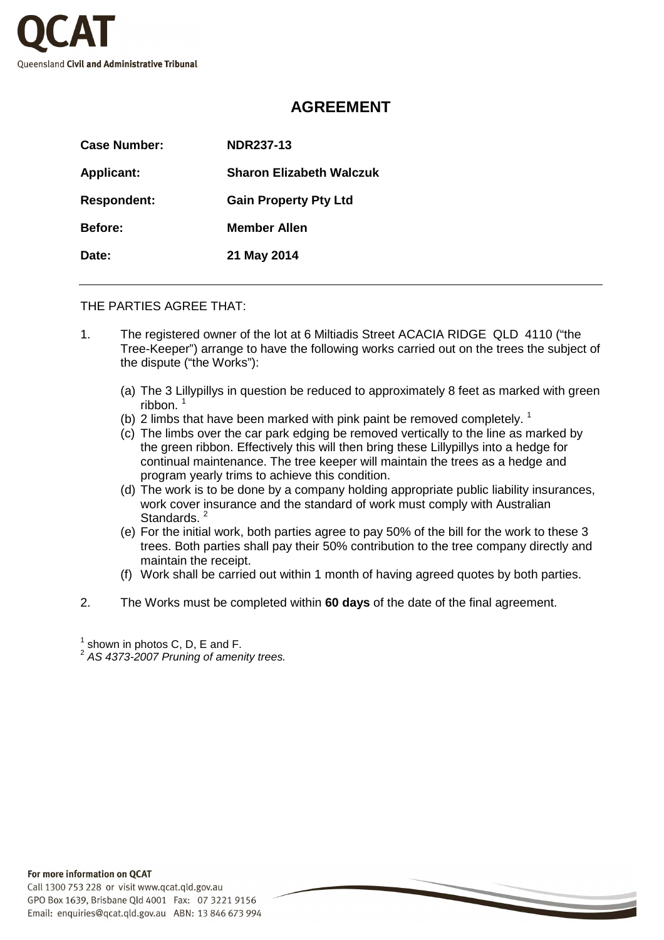

## **AGREEMENT**

| Case Number:       | <b>NDR237-13</b>                |
|--------------------|---------------------------------|
| <b>Applicant:</b>  | <b>Sharon Elizabeth Walczuk</b> |
| <b>Respondent:</b> | <b>Gain Property Pty Ltd</b>    |
| <b>Before:</b>     | <b>Member Allen</b>             |
| Date:              | 21 May 2014                     |

## THE PARTIES AGREE THAT:

- 1. The registered owner of the lot at 6 Miltiadis Street ACACIA RIDGE QLD 4110 ("the Tree-Keeper") arrange to have the following works carried out on the trees the subject of the dispute ("the Works"):
	- (a) The 3 Lillypillys in question be reduced to approximately 8 feet as marked with green ribbon. <sup>1</sup>
	- (b) 2 limbs that have been marked with pink paint be removed completely.  $1$
	- (c) The limbs over the car park edging be removed vertically to the line as marked by the green ribbon. Effectively this will then bring these Lillypillys into a hedge for continual maintenance. The tree keeper will maintain the trees as a hedge and program yearly trims to achieve this condition.
	- (d) The work is to be done by a company holding appropriate public liability insurances, work cover insurance and the standard of work must comply with Australian Standards.<sup>2</sup>
	- (e) For the initial work, both parties agree to pay 50% of the bill for the work to these 3 trees. Both parties shall pay their 50% contribution to the tree company directly and maintain the receipt.
	- (f) Work shall be carried out within 1 month of having agreed quotes by both parties.
- 2. The Works must be completed within **60 days** of the date of the final agreement.

 $^{\text{\tiny{1}}}$  shown in photos C, D, E and F.<br> $^{\text{\tiny{2}}}$  AS 4373-2007 Pruning of amenity trees.